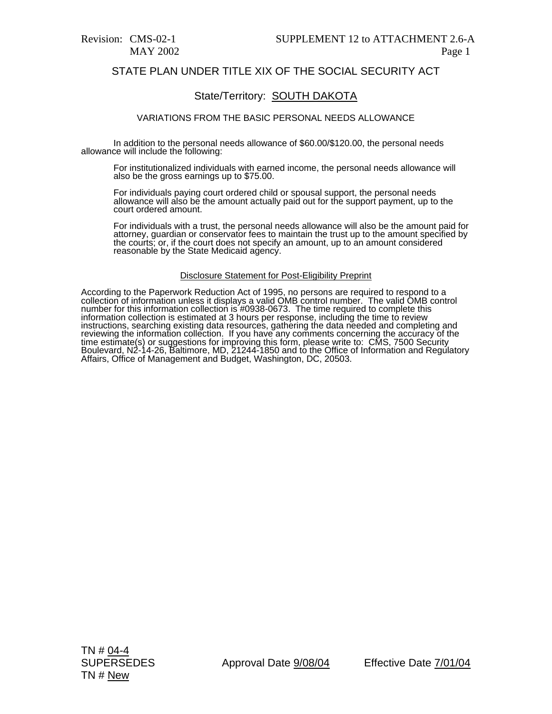# STATE PLAN UNDER TITLE XIX OF THE SOCIAL SECURITY ACT

# State/Territory: SOUTH DAKOTA

### VARIATIONS FROM THE BASIC PERSONAL NEEDS ALLOWANCE

In addition to the personal needs allowance of \$60.00/\$120.00, the personal needs allowance will include the following:

For institutionalized individuals with earned income, the personal needs allowance will also be the gross earnings up to \$75.00.

For individuals paying court ordered child or spousal support, the personal needs allowance will alsó be the amount actually paid out for the support payment, up to the court ordered amount.

For individuals with a trust, the personal needs allowance will also be the amount paid for<br>attorney, guardian or conservator fees to maintain the trust up to the amount specified by attorney, guardian or conservator fees to maintain the trust up to the amount specified by the courts; or, if the court does not specify an amount, up to an amount considered reasonable by the State Medicaid agency.

#### Disclosure Statement for Post-Eligibility Preprint

According to the Paperwork Reduction Act of 1995, no persons are required to respond to a<br>collection of information unless it displays a valid OMB control number. The valid OMB control number for this information collection is #0938-0673. The time required to complete this<br>information collection is estimated at 3 hours per response, including the time to review<br>instructions, searching existing data resou